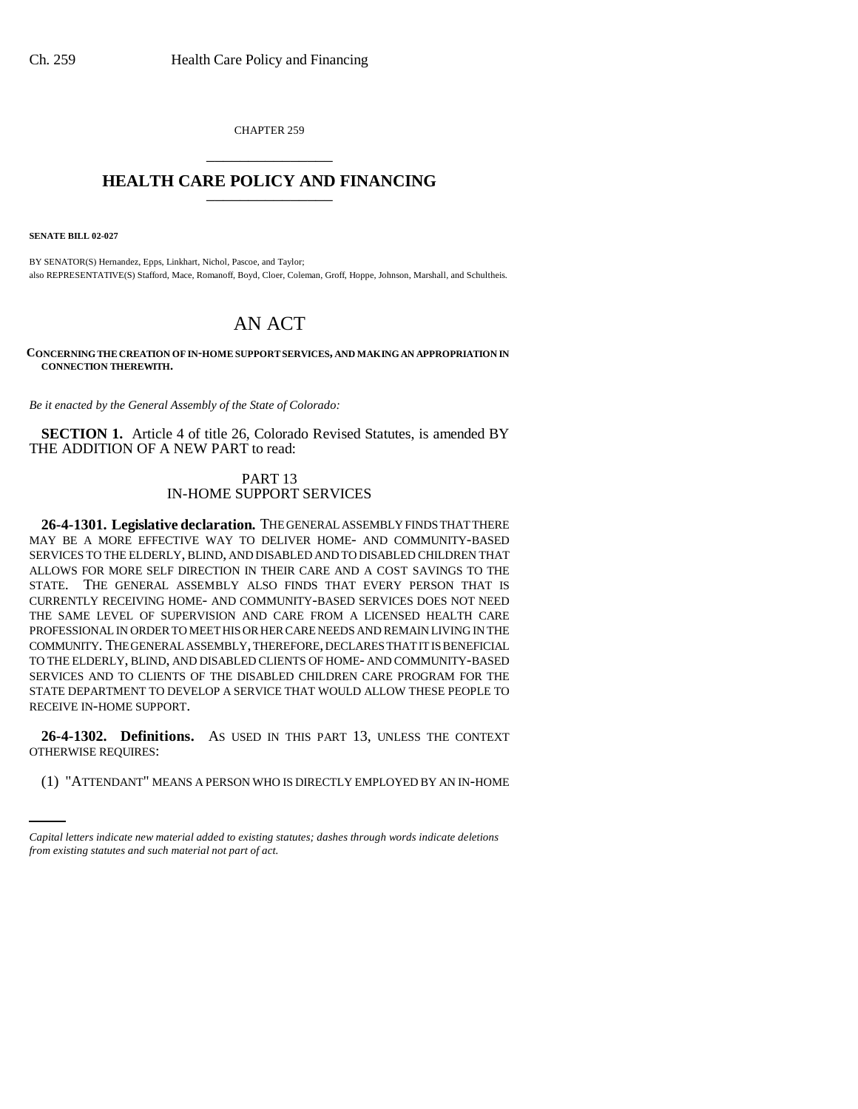CHAPTER 259 \_\_\_\_\_\_\_\_\_\_\_\_\_\_\_

## **HEALTH CARE POLICY AND FINANCING** \_\_\_\_\_\_\_\_\_\_\_\_\_\_\_

**SENATE BILL 02-027**

BY SENATOR(S) Hernandez, Epps, Linkhart, Nichol, Pascoe, and Taylor; also REPRESENTATIVE(S) Stafford, Mace, Romanoff, Boyd, Cloer, Coleman, Groff, Hoppe, Johnson, Marshall, and Schultheis.

## AN ACT

**CONCERNING THE CREATION OF IN-HOME SUPPORT SERVICES, AND MAKING AN APPROPRIATION IN CONNECTION THEREWITH.**

*Be it enacted by the General Assembly of the State of Colorado:*

**SECTION 1.** Article 4 of title 26, Colorado Revised Statutes, is amended BY THE ADDITION OF A NEW PART to read:

## PART 13 IN-HOME SUPPORT SERVICES

**26-4-1301. Legislative declaration.** THE GENERAL ASSEMBLY FINDS THAT THERE MAY BE A MORE EFFECTIVE WAY TO DELIVER HOME- AND COMMUNITY-BASED SERVICES TO THE ELDERLY, BLIND, AND DISABLED AND TO DISABLED CHILDREN THAT ALLOWS FOR MORE SELF DIRECTION IN THEIR CARE AND A COST SAVINGS TO THE STATE. THE GENERAL ASSEMBLY ALSO FINDS THAT EVERY PERSON THAT IS CURRENTLY RECEIVING HOME- AND COMMUNITY-BASED SERVICES DOES NOT NEED THE SAME LEVEL OF SUPERVISION AND CARE FROM A LICENSED HEALTH CARE PROFESSIONAL IN ORDER TO MEET HIS OR HER CARE NEEDS AND REMAIN LIVING IN THE COMMUNITY. THE GENERAL ASSEMBLY, THEREFORE, DECLARES THAT IT IS BENEFICIAL TO THE ELDERLY, BLIND, AND DISABLED CLIENTS OF HOME- AND COMMUNITY-BASED SERVICES AND TO CLIENTS OF THE DISABLED CHILDREN CARE PROGRAM FOR THE STATE DEPARTMENT TO DEVELOP A SERVICE THAT WOULD ALLOW THESE PEOPLE TO RECEIVE IN-HOME SUPPORT.

OTHERWISE REQUIRES: **26-4-1302. Definitions.** AS USED IN THIS PART 13, UNLESS THE CONTEXT

(1) "ATTENDANT" MEANS A PERSON WHO IS DIRECTLY EMPLOYED BY AN IN-HOME

*Capital letters indicate new material added to existing statutes; dashes through words indicate deletions from existing statutes and such material not part of act.*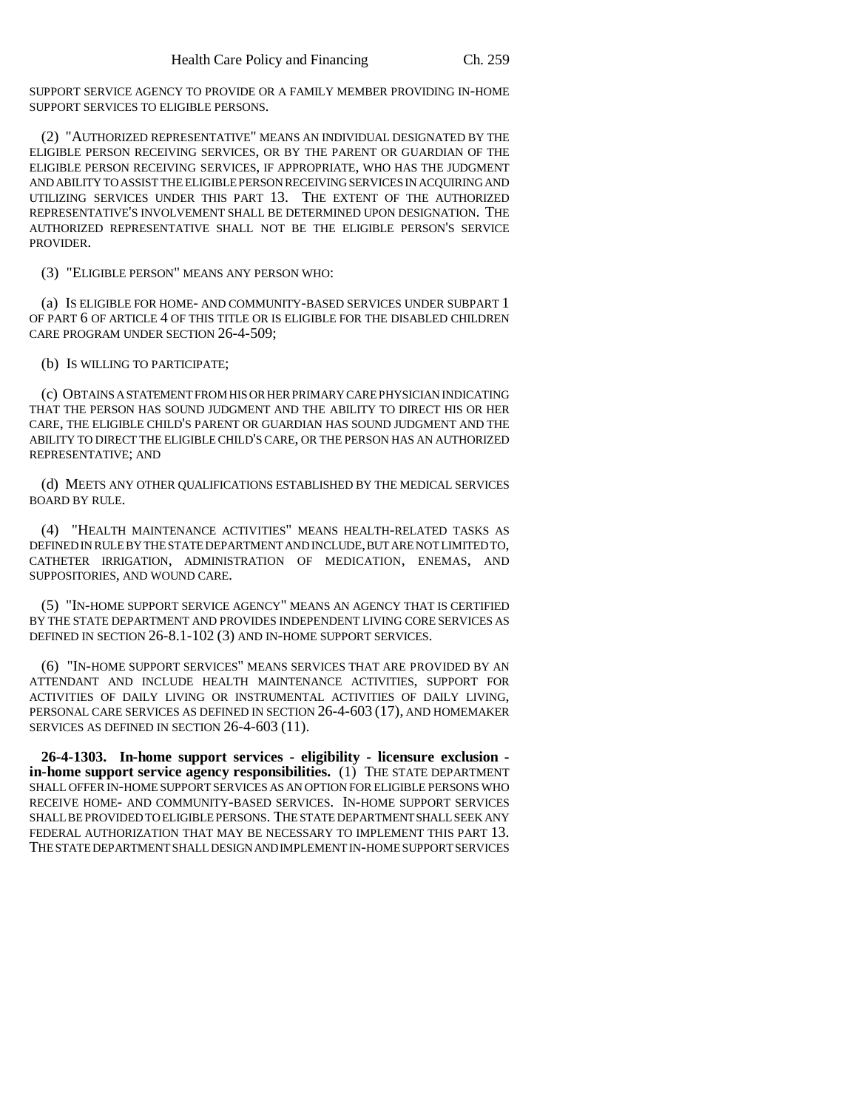SUPPORT SERVICE AGENCY TO PROVIDE OR A FAMILY MEMBER PROVIDING IN-HOME SUPPORT SERVICES TO ELIGIBLE PERSONS.

(2) "AUTHORIZED REPRESENTATIVE" MEANS AN INDIVIDUAL DESIGNATED BY THE ELIGIBLE PERSON RECEIVING SERVICES, OR BY THE PARENT OR GUARDIAN OF THE ELIGIBLE PERSON RECEIVING SERVICES, IF APPROPRIATE, WHO HAS THE JUDGMENT AND ABILITY TO ASSIST THE ELIGIBLE PERSON RECEIVING SERVICES IN ACQUIRING AND UTILIZING SERVICES UNDER THIS PART 13. THE EXTENT OF THE AUTHORIZED REPRESENTATIVE'S INVOLVEMENT SHALL BE DETERMINED UPON DESIGNATION. THE AUTHORIZED REPRESENTATIVE SHALL NOT BE THE ELIGIBLE PERSON'S SERVICE PROVIDER.

(3) "ELIGIBLE PERSON" MEANS ANY PERSON WHO:

(a) IS ELIGIBLE FOR HOME- AND COMMUNITY-BASED SERVICES UNDER SUBPART 1 OF PART 6 OF ARTICLE 4 OF THIS TITLE OR IS ELIGIBLE FOR THE DISABLED CHILDREN CARE PROGRAM UNDER SECTION 26-4-509;

(b) IS WILLING TO PARTICIPATE;

(c) OBTAINS A STATEMENT FROM HIS OR HER PRIMARY CARE PHYSICIAN INDICATING THAT THE PERSON HAS SOUND JUDGMENT AND THE ABILITY TO DIRECT HIS OR HER CARE, THE ELIGIBLE CHILD'S PARENT OR GUARDIAN HAS SOUND JUDGMENT AND THE ABILITY TO DIRECT THE ELIGIBLE CHILD'S CARE, OR THE PERSON HAS AN AUTHORIZED REPRESENTATIVE; AND

(d) MEETS ANY OTHER QUALIFICATIONS ESTABLISHED BY THE MEDICAL SERVICES BOARD BY RULE.

(4) "HEALTH MAINTENANCE ACTIVITIES" MEANS HEALTH-RELATED TASKS AS DEFINED IN RULE BY THE STATE DEPARTMENT AND INCLUDE, BUT ARE NOT LIMITED TO, CATHETER IRRIGATION, ADMINISTRATION OF MEDICATION, ENEMAS, AND SUPPOSITORIES, AND WOUND CARE.

(5) "IN-HOME SUPPORT SERVICE AGENCY" MEANS AN AGENCY THAT IS CERTIFIED BY THE STATE DEPARTMENT AND PROVIDES INDEPENDENT LIVING CORE SERVICES AS DEFINED IN SECTION 26-8.1-102 (3) AND IN-HOME SUPPORT SERVICES.

(6) "IN-HOME SUPPORT SERVICES" MEANS SERVICES THAT ARE PROVIDED BY AN ATTENDANT AND INCLUDE HEALTH MAINTENANCE ACTIVITIES, SUPPORT FOR ACTIVITIES OF DAILY LIVING OR INSTRUMENTAL ACTIVITIES OF DAILY LIVING, PERSONAL CARE SERVICES AS DEFINED IN SECTION 26-4-603 (17), AND HOMEMAKER SERVICES AS DEFINED IN SECTION 26-4-603 (11).

**26-4-1303. In-home support services - eligibility - licensure exclusion in-home support service agency responsibilities.** (1) THE STATE DEPARTMENT SHALL OFFER IN-HOME SUPPORT SERVICES AS AN OPTION FOR ELIGIBLE PERSONS WHO RECEIVE HOME- AND COMMUNITY-BASED SERVICES. IN-HOME SUPPORT SERVICES SHALL BE PROVIDED TO ELIGIBLE PERSONS. THE STATE DEPARTMENT SHALL SEEK ANY FEDERAL AUTHORIZATION THAT MAY BE NECESSARY TO IMPLEMENT THIS PART 13. THE STATE DEPARTMENT SHALL DESIGN AND IMPLEMENT IN-HOME SUPPORT SERVICES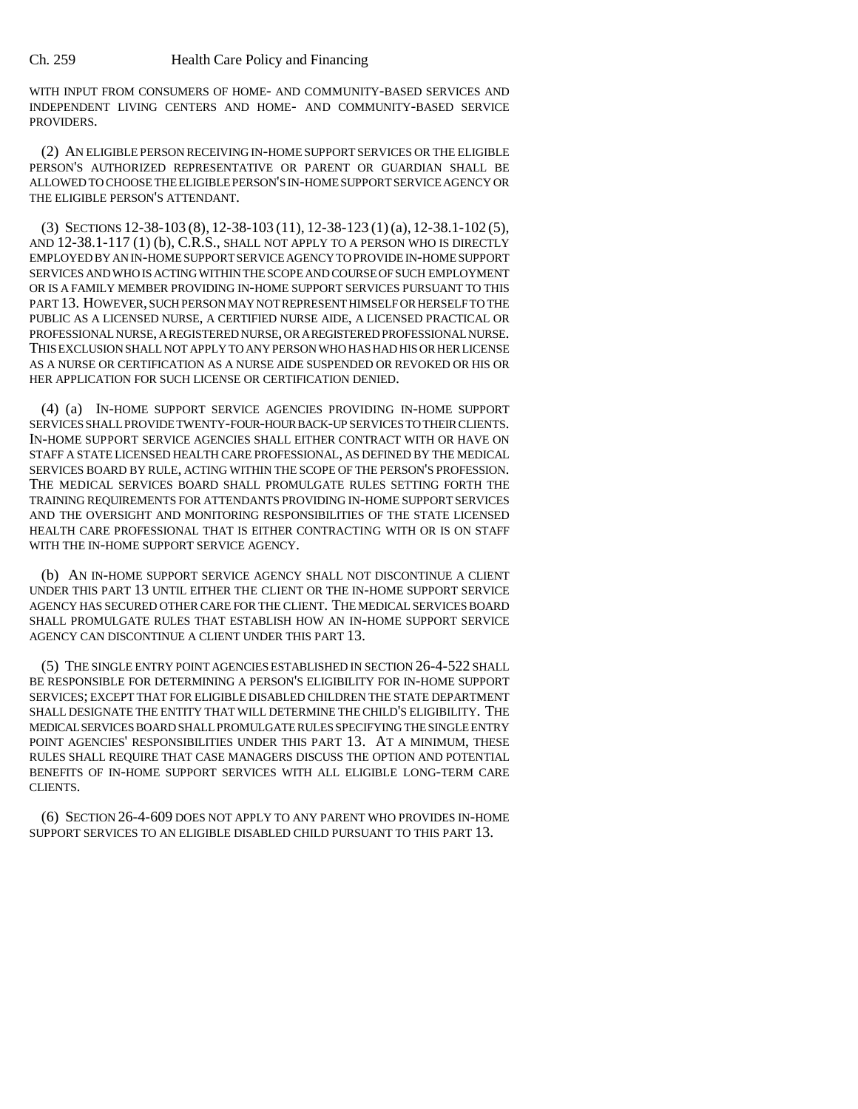WITH INPUT FROM CONSUMERS OF HOME- AND COMMUNITY-BASED SERVICES AND INDEPENDENT LIVING CENTERS AND HOME- AND COMMUNITY-BASED SERVICE PROVIDERS.

(2) AN ELIGIBLE PERSON RECEIVING IN-HOME SUPPORT SERVICES OR THE ELIGIBLE PERSON'S AUTHORIZED REPRESENTATIVE OR PARENT OR GUARDIAN SHALL BE ALLOWED TO CHOOSE THE ELIGIBLE PERSON'S IN-HOME SUPPORT SERVICE AGENCY OR THE ELIGIBLE PERSON'S ATTENDANT.

(3) SECTIONS 12-38-103 (8), 12-38-103 (11), 12-38-123 (1)(a), 12-38.1-102 (5), AND 12-38.1-117 (1) (b), C.R.S., SHALL NOT APPLY TO A PERSON WHO IS DIRECTLY EMPLOYED BY AN IN-HOME SUPPORT SERVICE AGENCY TO PROVIDE IN-HOME SUPPORT SERVICES AND WHO IS ACTING WITHIN THE SCOPE AND COURSE OF SUCH EMPLOYMENT OR IS A FAMILY MEMBER PROVIDING IN-HOME SUPPORT SERVICES PURSUANT TO THIS PART 13. HOWEVER, SUCH PERSON MAY NOT REPRESENT HIMSELF OR HERSELF TO THE PUBLIC AS A LICENSED NURSE, A CERTIFIED NURSE AIDE, A LICENSED PRACTICAL OR PROFESSIONAL NURSE, A REGISTERED NURSE, OR A REGISTERED PROFESSIONAL NURSE. THIS EXCLUSION SHALL NOT APPLY TO ANY PERSON WHO HAS HAD HIS OR HER LICENSE AS A NURSE OR CERTIFICATION AS A NURSE AIDE SUSPENDED OR REVOKED OR HIS OR HER APPLICATION FOR SUCH LICENSE OR CERTIFICATION DENIED.

(4) (a) IN-HOME SUPPORT SERVICE AGENCIES PROVIDING IN-HOME SUPPORT SERVICES SHALL PROVIDE TWENTY-FOUR-HOUR BACK-UP SERVICES TO THEIR CLIENTS. IN-HOME SUPPORT SERVICE AGENCIES SHALL EITHER CONTRACT WITH OR HAVE ON STAFF A STATE LICENSED HEALTH CARE PROFESSIONAL, AS DEFINED BY THE MEDICAL SERVICES BOARD BY RULE, ACTING WITHIN THE SCOPE OF THE PERSON'S PROFESSION. THE MEDICAL SERVICES BOARD SHALL PROMULGATE RULES SETTING FORTH THE TRAINING REQUIREMENTS FOR ATTENDANTS PROVIDING IN-HOME SUPPORT SERVICES AND THE OVERSIGHT AND MONITORING RESPONSIBILITIES OF THE STATE LICENSED HEALTH CARE PROFESSIONAL THAT IS EITHER CONTRACTING WITH OR IS ON STAFF WITH THE IN-HOME SUPPORT SERVICE AGENCY.

(b) AN IN-HOME SUPPORT SERVICE AGENCY SHALL NOT DISCONTINUE A CLIENT UNDER THIS PART 13 UNTIL EITHER THE CLIENT OR THE IN-HOME SUPPORT SERVICE AGENCY HAS SECURED OTHER CARE FOR THE CLIENT. THE MEDICAL SERVICES BOARD SHALL PROMULGATE RULES THAT ESTABLISH HOW AN IN-HOME SUPPORT SERVICE AGENCY CAN DISCONTINUE A CLIENT UNDER THIS PART 13.

(5) THE SINGLE ENTRY POINT AGENCIES ESTABLISHED IN SECTION 26-4-522 SHALL BE RESPONSIBLE FOR DETERMINING A PERSON'S ELIGIBILITY FOR IN-HOME SUPPORT SERVICES; EXCEPT THAT FOR ELIGIBLE DISABLED CHILDREN THE STATE DEPARTMENT SHALL DESIGNATE THE ENTITY THAT WILL DETERMINE THE CHILD'S ELIGIBILITY. THE MEDICAL SERVICES BOARD SHALL PROMULGATE RULES SPECIFYING THE SINGLE ENTRY POINT AGENCIES' RESPONSIBILITIES UNDER THIS PART 13. AT A MINIMUM, THESE RULES SHALL REQUIRE THAT CASE MANAGERS DISCUSS THE OPTION AND POTENTIAL BENEFITS OF IN-HOME SUPPORT SERVICES WITH ALL ELIGIBLE LONG-TERM CARE CLIENTS.

(6) SECTION 26-4-609 DOES NOT APPLY TO ANY PARENT WHO PROVIDES IN-HOME SUPPORT SERVICES TO AN ELIGIBLE DISABLED CHILD PURSUANT TO THIS PART 13.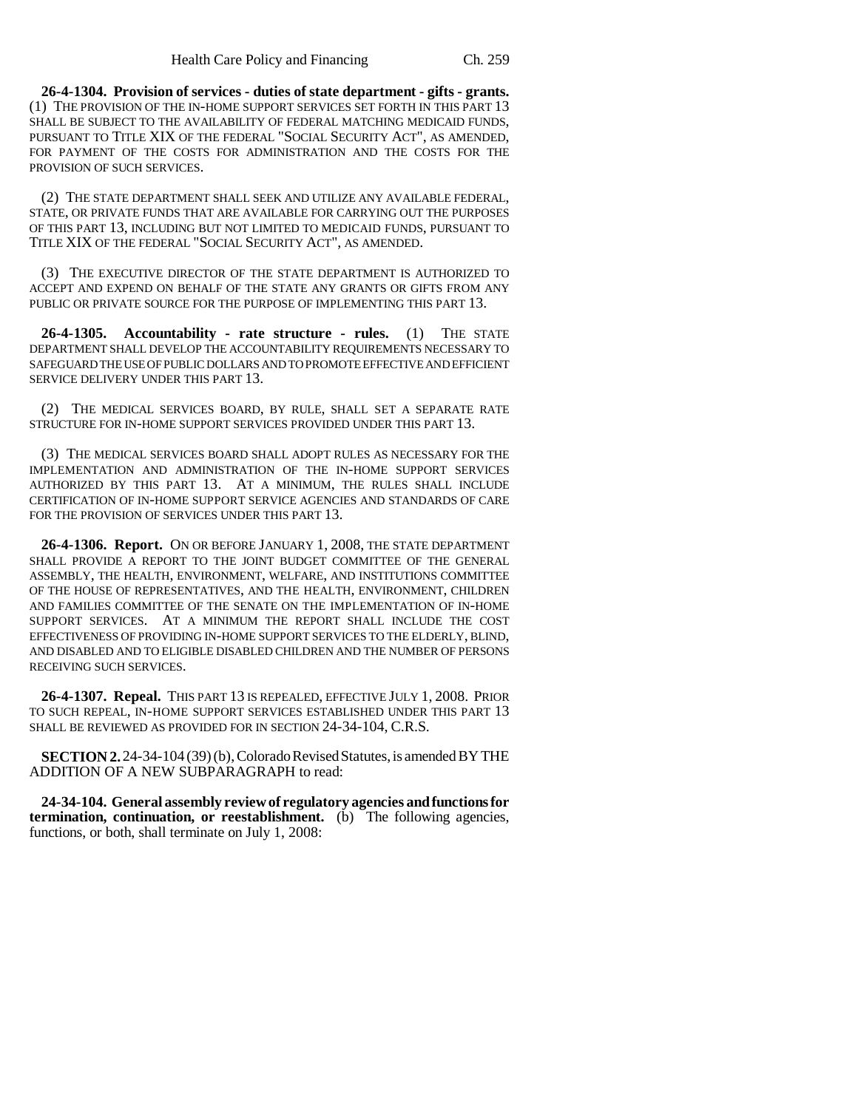**26-4-1304. Provision of services - duties of state department - gifts - grants.** (1) THE PROVISION OF THE IN-HOME SUPPORT SERVICES SET FORTH IN THIS PART 13 SHALL BE SUBJECT TO THE AVAILABILITY OF FEDERAL MATCHING MEDICAID FUNDS, PURSUANT TO TITLE XIX OF THE FEDERAL "SOCIAL SECURITY ACT", AS AMENDED, FOR PAYMENT OF THE COSTS FOR ADMINISTRATION AND THE COSTS FOR THE PROVISION OF SUCH SERVICES.

(2) THE STATE DEPARTMENT SHALL SEEK AND UTILIZE ANY AVAILABLE FEDERAL, STATE, OR PRIVATE FUNDS THAT ARE AVAILABLE FOR CARRYING OUT THE PURPOSES OF THIS PART 13, INCLUDING BUT NOT LIMITED TO MEDICAID FUNDS, PURSUANT TO TITLE XIX OF THE FEDERAL "SOCIAL SECURITY ACT", AS AMENDED.

(3) THE EXECUTIVE DIRECTOR OF THE STATE DEPARTMENT IS AUTHORIZED TO ACCEPT AND EXPEND ON BEHALF OF THE STATE ANY GRANTS OR GIFTS FROM ANY PUBLIC OR PRIVATE SOURCE FOR THE PURPOSE OF IMPLEMENTING THIS PART 13.

**26-4-1305. Accountability - rate structure - rules.** (1) THE STATE DEPARTMENT SHALL DEVELOP THE ACCOUNTABILITY REQUIREMENTS NECESSARY TO SAFEGUARD THE USE OF PUBLIC DOLLARS AND TO PROMOTE EFFECTIVE AND EFFICIENT SERVICE DELIVERY UNDER THIS PART 13.

(2) THE MEDICAL SERVICES BOARD, BY RULE, SHALL SET A SEPARATE RATE STRUCTURE FOR IN-HOME SUPPORT SERVICES PROVIDED UNDER THIS PART 13.

(3) THE MEDICAL SERVICES BOARD SHALL ADOPT RULES AS NECESSARY FOR THE IMPLEMENTATION AND ADMINISTRATION OF THE IN-HOME SUPPORT SERVICES AUTHORIZED BY THIS PART 13. AT A MINIMUM, THE RULES SHALL INCLUDE CERTIFICATION OF IN-HOME SUPPORT SERVICE AGENCIES AND STANDARDS OF CARE FOR THE PROVISION OF SERVICES UNDER THIS PART 13.

**26-4-1306. Report.** ON OR BEFORE JANUARY 1, 2008, THE STATE DEPARTMENT SHALL PROVIDE A REPORT TO THE JOINT BUDGET COMMITTEE OF THE GENERAL ASSEMBLY, THE HEALTH, ENVIRONMENT, WELFARE, AND INSTITUTIONS COMMITTEE OF THE HOUSE OF REPRESENTATIVES, AND THE HEALTH, ENVIRONMENT, CHILDREN AND FAMILIES COMMITTEE OF THE SENATE ON THE IMPLEMENTATION OF IN-HOME SUPPORT SERVICES. AT A MINIMUM THE REPORT SHALL INCLUDE THE COST EFFECTIVENESS OF PROVIDING IN-HOME SUPPORT SERVICES TO THE ELDERLY, BLIND, AND DISABLED AND TO ELIGIBLE DISABLED CHILDREN AND THE NUMBER OF PERSONS RECEIVING SUCH SERVICES.

**26-4-1307. Repeal.** THIS PART 13 IS REPEALED, EFFECTIVE JULY 1, 2008. PRIOR TO SUCH REPEAL, IN-HOME SUPPORT SERVICES ESTABLISHED UNDER THIS PART 13 SHALL BE REVIEWED AS PROVIDED FOR IN SECTION 24-34-104, C.R.S.

**SECTION 2.** 24-34-104 (39) (b), Colorado Revised Statutes, is amended BY THE ADDITION OF A NEW SUBPARAGRAPH to read:

**24-34-104. General assembly review of regulatory agencies and functions for termination, continuation, or reestablishment.** (b) The following agencies, functions, or both, shall terminate on July 1, 2008: